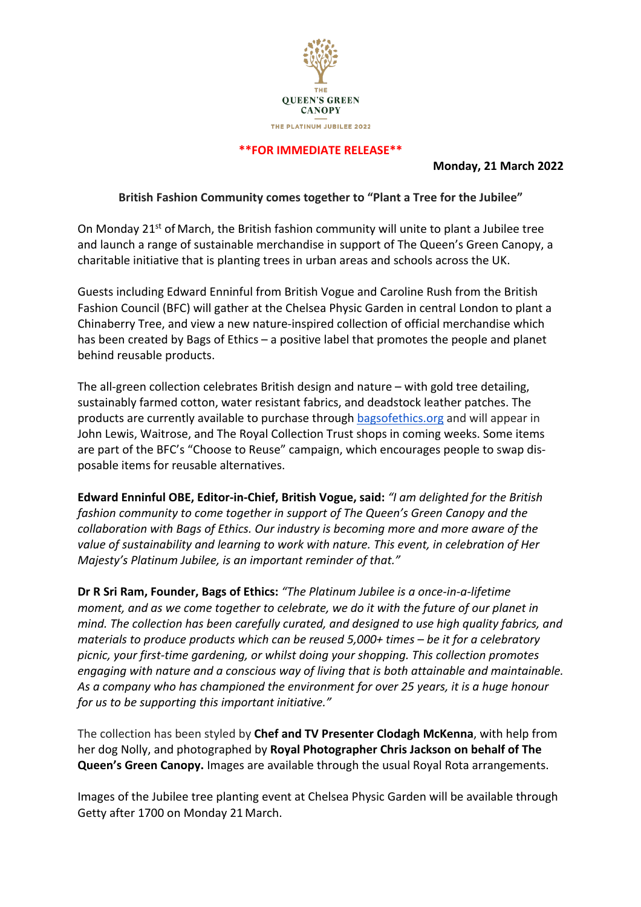

#### **\*\*FOR IMMEDIATE RELEASE\*\***

#### **Monday, 21 March 2022**

#### **British Fashion Community comes together to "Plant a Tree for the Jubilee"**

On Monday 21st of March, the British fashion community will unite to plant a Jubilee tree and launch a range of sustainable merchandise in support of The Queen's Green Canopy, a charitable initiative that is planting trees in urban areas and schools across the UK.

Guests including Edward Enninful from British Vogue and Caroline Rush from the British Fashion Council (BFC) will gather at the Chelsea Physic Garden in central London to plant a Chinaberry Tree, and view a new nature-inspired collection of official merchandise which has been created by Bags of Ethics – a positive label that promotes the people and planet behind reusable products.

The all-green collection celebrates British design and nature – with gold tree detailing, sustainably farmed cotton, water resistant fabrics, and deadstock leather patches. The products are currently available to purchase through bagsofethics.org and will appear in John Lewis, Waitrose, and The Royal Collection Trust shops in coming weeks. Some items are part of the BFC's "Choose to Reuse" campaign, which encourages people to swap disposable items for reusable alternatives.

**Edward Enninful OBE, Editor-in-Chief, British Vogue, said:** *"I am delighted for the British fashion community to come together in support of The Queen's Green Canopy and the collaboration with Bags of Ethics. Our industry is becoming more and more aware of the value of sustainability and learning to work with nature. This event, in celebration of Her Majesty's Platinum Jubilee, is an important reminder of that."*

**Dr R Sri Ram, Founder, Bags of Ethics:** *"The Platinum Jubilee is a once-in-a-lifetime moment, and as we come together to celebrate, we do it with the future of our planet in mind. The collection has been carefully curated, and designed to use high quality fabrics, and materials to produce products which can be reused 5,000+ times – be it for a celebratory picnic, your first-time gardening, or whilst doing your shopping. This collection promotes engaging with nature and a conscious way of living that is both attainable and maintainable. As a company who has championed the environment for over 25 years, it is a huge honour for us to be supporting this important initiative."*

The collection has been styled by **Chef and TV Presenter Clodagh McKenna**, with help from her dog Nolly, and photographed by **Royal Photographer Chris Jackson on behalf of The Queen's Green Canopy.** Images are available through the usual Royal Rota arrangements.

Images of the Jubilee tree planting event at Chelsea Physic Garden will be available through Getty after 1700 on Monday 21 March.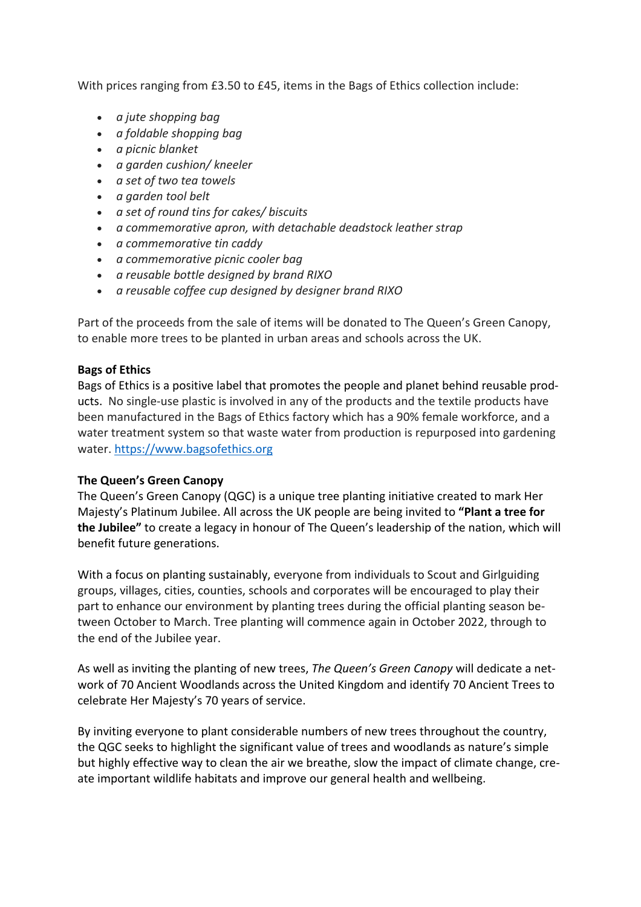With prices ranging from £3.50 to £45, items in the Bags of Ethics collection include:

- *a jute shopping bag*
- *a foldable shopping bag*
- *a picnic blanket*
- *a garden cushion/ kneeler*
- *a set of two tea towels*
- *a garden tool belt*
- *a set of round tins for cakes/ biscuits*
- *a commemorative apron, with detachable deadstock leather strap*
- *a commemorative tin caddy*
- *a commemorative picnic cooler bag*
- *a reusable bottle designed by brand RIXO*
- *a reusable coffee cup designed by designer brand RIXO*

Part of the proceeds from the sale of items will be donated to The Queen's Green Canopy, to enable more trees to be planted in urban areas and schools across the UK.

## **Bags of Ethics**

Bags of Ethics is a positive label that promotes the people and planet behind reusable products. No single-use plastic is involved in any of the products and the textile products have been manufactured in the Bags of Ethics factory which has a 90% female workforce, and a water treatment system so that waste water from production is repurposed into gardening water. https://www.bagsofethics.org

### **The Queen's Green Canopy**

The Queen's Green Canopy (QGC) is a unique tree planting initiative created to mark Her Majesty's Platinum Jubilee. All across the UK people are being invited to **"Plant a tree for the Jubilee"** to create a legacy in honour of The Queen's leadership of the nation, which will benefit future generations.

With a focus on planting sustainably, everyone from individuals to Scout and Girlguiding groups, villages, cities, counties, schools and corporates will be encouraged to play their part to enhance our environment by planting trees during the official planting season between October to March. Tree planting will commence again in October 2022, through to the end of the Jubilee year.

As well as inviting the planting of new trees, *The Queen's Green Canopy* will dedicate a network of 70 Ancient Woodlands across the United Kingdom and identify 70 Ancient Trees to celebrate Her Majesty's 70 years of service.

By inviting everyone to plant considerable numbers of new trees throughout the country, the QGC seeks to highlight the significant value of trees and woodlands as nature's simple but highly effective way to clean the air we breathe, slow the impact of climate change, create important wildlife habitats and improve our general health and wellbeing.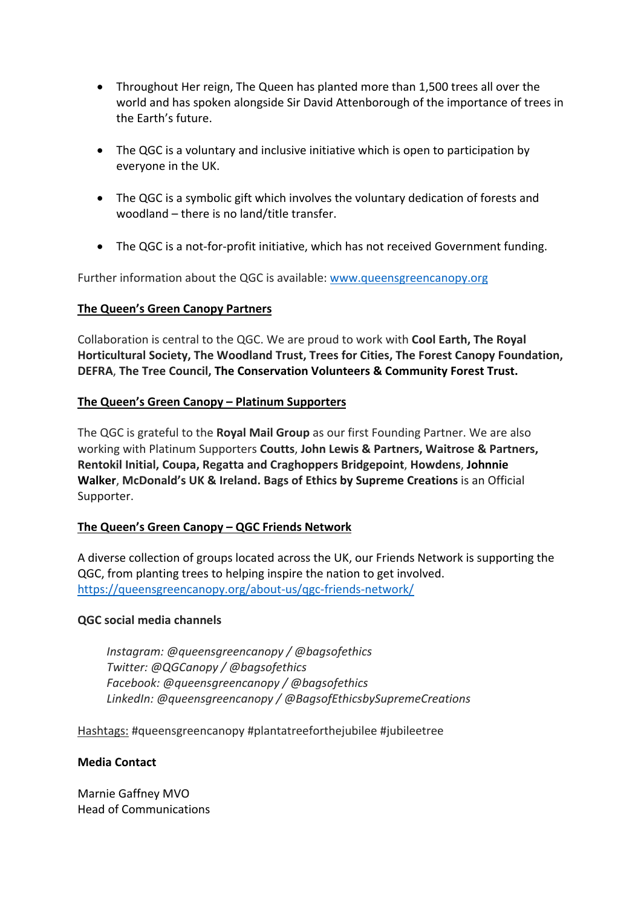- Throughout Her reign, The Queen has planted more than 1,500 trees all over the world and has spoken alongside Sir David Attenborough of the importance of trees in the Earth's future.
- The QGC is a voluntary and inclusive initiative which is open to participation by everyone in the UK.
- The QGC is a symbolic gift which involves the voluntary dedication of forests and woodland – there is no land/title transfer.
- The QGC is a not-for-profit initiative, which has not received Government funding.

Further information about the QGC is available: www.queensgreencanopy.org

## **The Queen's Green Canopy Partners**

Collaboration is central to the QGC. We are proud to work with **Cool Earth, The Royal Horticultural Society, The Woodland Trust, Trees for Cities, The Forest Canopy Foundation, DEFRA**, **The Tree Council, The Conservation Volunteers & Community Forest Trust.**

## **The Queen's Green Canopy – Platinum Supporters**

The QGC is grateful to the **Royal Mail Group** as our first Founding Partner. We are also working with Platinum Supporters **Coutts**, **John Lewis & Partners, Waitrose & Partners, Rentokil Initial, Coupa, Regatta and Craghoppers Bridgepoint**, **Howdens**, **Johnnie Walker**, **McDonald's UK & Ireland. Bags of Ethics by Supreme Creations** is an Official Supporter.

# **The Queen's Green Canopy – QGC Friends Network**

A diverse collection of groups located across the UK, our Friends Network is supporting the QGC, from planting trees to helping inspire the nation to get involved. https://queensgreencanopy.org/about-us/qgc-friends-network/

### **QGC social media channels**

*Instagram: @queensgreencanopy / @bagsofethics Twitter: @QGCanopy / @bagsofethics Facebook: @queensgreencanopy / @bagsofethics LinkedIn: @queensgreencanopy / @BagsofEthicsbySupremeCreations*

Hashtags: #queensgreencanopy #plantatreeforthejubilee #jubileetree

### **Media Contact**

Marnie Gaffney MVO Head of Communications